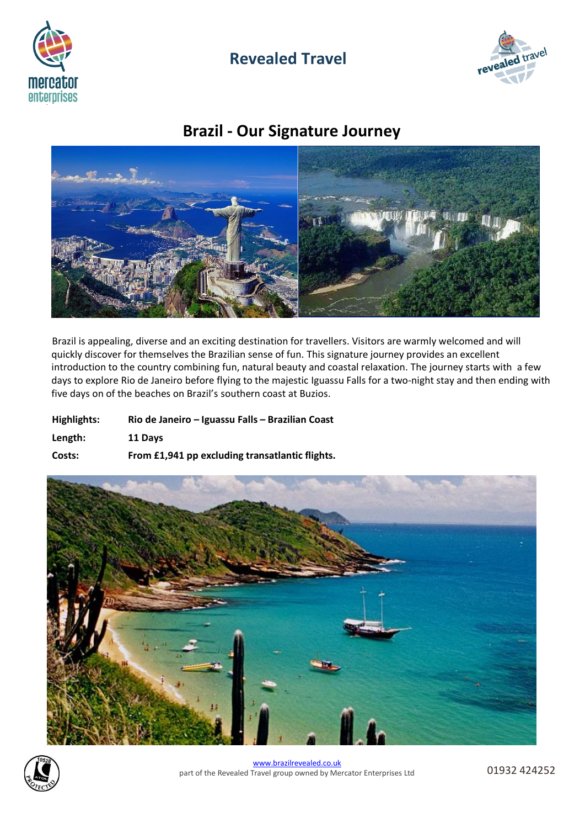

# **Revealed Travel**



# **Brazil - Our Signature Journey**



Brazil is appealing, diverse and an exciting destination for travellers. Visitors are warmly welcomed and will quickly discover for themselves the Brazilian sense of fun. This signature journey provides an excellent introduction to the country combining fun, natural beauty and coastal relaxation. The journey starts with a few days to explore Rio de Janeiro before flying to the majestic Iguassu Falls for a two-night stay and then ending with five days on of the beaches on Brazil's southern coast at Buzios.

| Highlights: | Rio de Janeiro – Iguassu Falls – Brazilian Coast |
|-------------|--------------------------------------------------|
| Length:     | 11 Davs                                          |
| Costs:      | From £1,941 pp excluding transatiantic flights.  |



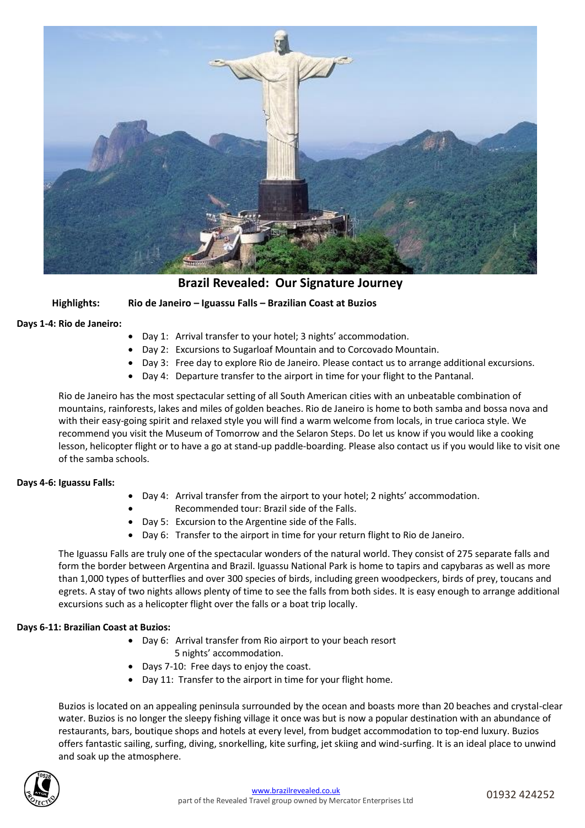

**Brazil Revealed: Our Signature Journey**

**Highlights: Rio de Janeiro – Iguassu Falls – Brazilian Coast at Buzios**

**Days 1-4: Rio de Janeiro:**

- Day 1: Arrival transfer to your hotel; 3 nights' accommodation.
- Day 2: Excursions to Sugarloaf Mountain and to Corcovado Mountain.
- Day 3: Free day to explore Rio de Janeiro. Please contact us to arrange additional excursions.
- Day 4: Departure transfer to the airport in time for your flight to the Pantanal.

Rio de Janeiro has the most spectacular setting of all South American cities with an unbeatable combination of mountains, rainforests, lakes and miles of golden beaches. Rio de Janeiro is home to both samba and bossa nova and with their easy-going spirit and relaxed style you will find a warm welcome from locals, in true carioca style. We recommend you visit the Museum of Tomorrow and the Selaron Steps. Do let us know if you would like a cooking lesson, helicopter flight or to have a go at stand-up paddle-boarding. Please also contact us if you would like to visit one of the samba schools.

## **Days 4-6: Iguassu Falls:**

- Day 4: Arrival transfer from the airport to your hotel; 2 nights' accommodation.
	- Recommended tour: Brazil side of the Falls.
- Day 5: Excursion to the Argentine side of the Falls.
- Day 6: Transfer to the airport in time for your return flight to Rio de Janeiro.

The Iguassu Falls are truly one of the spectacular wonders of the natural world. They consist of 275 separate falls and form the border between Argentina and Brazil. Iguassu National Park is home to tapirs and capybaras as well as more than 1,000 types of butterflies and over 300 species of birds, including green woodpeckers, birds of prey, toucans and egrets. A stay of two nights allows plenty of time to see the falls from both sides. It is easy enough to arrange additional excursions such as a helicopter flight over the falls or a boat trip locally.

## **Days 6-11: Brazilian Coast at Buzios:**

- Day 6: Arrival transfer from Rio airport to your beach resort
	- 5 nights' accommodation.
- Days 7-10: Free days to enjoy the coast.
- Day 11: Transfer to the airport in time for your flight home.

Buzios is located on an appealing peninsula surrounded by the ocean and boasts more than 20 beaches and crystal-clear water. Buzios is no longer the sleepy fishing village it once was but is now a popular destination with an abundance of restaurants, bars, boutique shops and hotels at every level, from budget accommodation to top-end luxury. Buzios offers fantastic sailing, surfing, diving, snorkelling, kite surfing, jet skiing and wind-surfing. It is an ideal place to unwind and soak up the atmosphere.